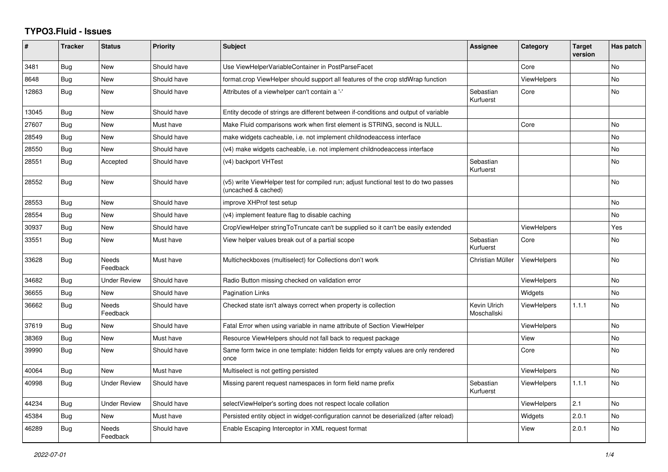## **TYPO3.Fluid - Issues**

| #     | <b>Tracker</b> | <b>Status</b>            | <b>Priority</b> | <b>Subject</b>                                                                                              | Assignee                    | Category           | <b>Target</b><br>version | Has patch |
|-------|----------------|--------------------------|-----------------|-------------------------------------------------------------------------------------------------------------|-----------------------------|--------------------|--------------------------|-----------|
| 3481  | Bug            | <b>New</b>               | Should have     | Use ViewHelperVariableContainer in PostParseFacet                                                           |                             | Core               |                          | <b>No</b> |
| 8648  | <b>Bug</b>     | New                      | Should have     | format.crop ViewHelper should support all features of the crop stdWrap function                             |                             | ViewHelpers        |                          | No.       |
| 12863 | Bug            | New                      | Should have     | Attributes of a viewhelper can't contain a '-'                                                              | Sebastian<br>Kurfuerst      | Core               |                          | No        |
| 13045 | <b>Bug</b>     | New                      | Should have     | Entity decode of strings are different between if-conditions and output of variable                         |                             |                    |                          |           |
| 27607 | Bug            | <b>New</b>               | Must have       | Make Fluid comparisons work when first element is STRING, second is NULL.                                   |                             | Core               |                          | <b>No</b> |
| 28549 | <b>Bug</b>     | New                      | Should have     | make widgets cacheable, i.e. not implement childnodeaccess interface                                        |                             |                    |                          | <b>No</b> |
| 28550 | Bug            | New                      | Should have     | (v4) make widgets cacheable, i.e. not implement childnodeaccess interface                                   |                             |                    |                          | No        |
| 28551 | <b>Bug</b>     | Accepted                 | Should have     | (v4) backport VHTest                                                                                        | Sebastian<br>Kurfuerst      |                    |                          | <b>No</b> |
| 28552 | <b>Bug</b>     | New                      | Should have     | (v5) write ViewHelper test for compiled run; adjust functional test to do two passes<br>(uncached & cached) |                             |                    |                          | No        |
| 28553 | Bug            | New                      | Should have     | improve XHProf test setup                                                                                   |                             |                    |                          | No        |
| 28554 | Bug            | New                      | Should have     | (v4) implement feature flag to disable caching                                                              |                             |                    |                          | No        |
| 30937 | Bug            | New                      | Should have     | CropViewHelper stringToTruncate can't be supplied so it can't be easily extended                            |                             | <b>ViewHelpers</b> |                          | Yes       |
| 33551 | <b>Bug</b>     | New                      | Must have       | View helper values break out of a partial scope                                                             | Sebastian<br>Kurfuerst      | Core               |                          | No        |
| 33628 | Bug            | <b>Needs</b><br>Feedback | Must have       | Multicheckboxes (multiselect) for Collections don't work                                                    | Christian Müller            | <b>ViewHelpers</b> |                          | <b>No</b> |
| 34682 | <b>Bug</b>     | <b>Under Review</b>      | Should have     | Radio Button missing checked on validation error                                                            |                             | <b>ViewHelpers</b> |                          | <b>No</b> |
| 36655 | Bug            | New                      | Should have     | Pagination Links                                                                                            |                             | Widgets            |                          | No.       |
| 36662 | <b>Bug</b>     | <b>Needs</b><br>Feedback | Should have     | Checked state isn't always correct when property is collection                                              | Kevin Ulrich<br>Moschallski | <b>ViewHelpers</b> | 1.1.1                    | <b>No</b> |
| 37619 | Bug            | New                      | Should have     | Fatal Error when using variable in name attribute of Section ViewHelper                                     |                             | <b>ViewHelpers</b> |                          | <b>No</b> |
| 38369 | Bug            | <b>New</b>               | Must have       | Resource ViewHelpers should not fall back to request package                                                |                             | View               |                          | <b>No</b> |
| 39990 | Bug            | New                      | Should have     | Same form twice in one template: hidden fields for empty values are only rendered<br>once                   |                             | Core               |                          | No        |
| 40064 | Bug            | <b>New</b>               | Must have       | Multiselect is not getting persisted                                                                        |                             | <b>ViewHelpers</b> |                          | <b>No</b> |
| 40998 | Bug            | Under Review             | Should have     | Missing parent request namespaces in form field name prefix                                                 | Sebastian<br>Kurfuerst      | <b>ViewHelpers</b> | 1.1.1                    | No        |
| 44234 | Bug            | Under Review             | Should have     | selectViewHelper's sorting does not respect locale collation                                                |                             | <b>ViewHelpers</b> | 2.1                      | <b>No</b> |
| 45384 | Bug            | New                      | Must have       | Persisted entity object in widget-configuration cannot be deserialized (after reload)                       |                             | Widgets            | 2.0.1                    | No        |
| 46289 | Bug            | Needs<br>Feedback        | Should have     | Enable Escaping Interceptor in XML request format                                                           |                             | View               | 2.0.1                    | <b>No</b> |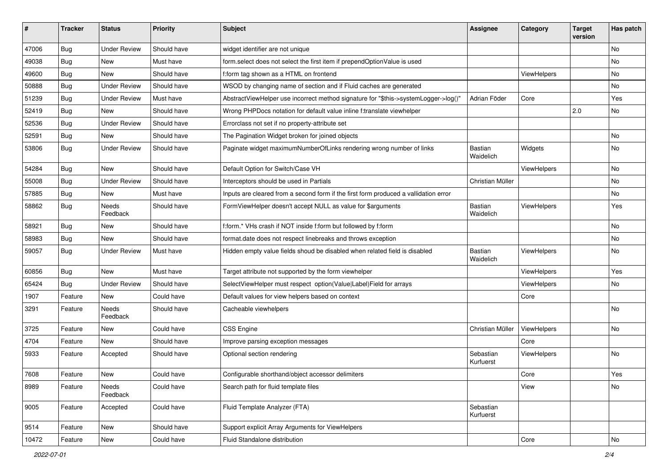| ∦     | <b>Tracker</b> | <b>Status</b>            | <b>Priority</b> | <b>Subject</b>                                                                       | <b>Assignee</b>        | Category    | <b>Target</b><br>version | Has patch |
|-------|----------------|--------------------------|-----------------|--------------------------------------------------------------------------------------|------------------------|-------------|--------------------------|-----------|
| 47006 | Bug            | <b>Under Review</b>      | Should have     | widget identifier are not unique                                                     |                        |             |                          | No        |
| 49038 | Bug            | New                      | Must have       | form.select does not select the first item if prependOptionValue is used             |                        |             |                          | No        |
| 49600 | Bug            | New                      | Should have     | f:form tag shown as a HTML on frontend                                               |                        | ViewHelpers |                          | No        |
| 50888 | Bug            | <b>Under Review</b>      | Should have     | WSOD by changing name of section and if Fluid caches are generated                   |                        |             |                          | No        |
| 51239 | <b>Bug</b>     | <b>Under Review</b>      | Must have       | AbstractViewHelper use incorrect method signature for "\$this->systemLogger->log()"  | Adrian Föder           | Core        |                          | Yes       |
| 52419 | Bug            | <b>New</b>               | Should have     | Wrong PHPDocs notation for default value inline f:translate viewhelper               |                        |             | 2.0                      | No        |
| 52536 | Bug            | <b>Under Review</b>      | Should have     | Errorclass not set if no property-attribute set                                      |                        |             |                          |           |
| 52591 | Bug            | New                      | Should have     | The Pagination Widget broken for joined objects                                      |                        |             |                          | No.       |
| 53806 | Bug            | <b>Under Review</b>      | Should have     | Paginate widget maximumNumberOfLinks rendering wrong number of links                 | Bastian<br>Waidelich   | Widgets     |                          | No        |
| 54284 | Bug            | <b>New</b>               | Should have     | Default Option for Switch/Case VH                                                    |                        | ViewHelpers |                          | No        |
| 55008 | Bug            | <b>Under Review</b>      | Should have     | Interceptors should be used in Partials                                              | Christian Müller       |             |                          | No        |
| 57885 | Bug            | New                      | Must have       | Inputs are cleared from a second form if the first form produced a vallidation error |                        |             |                          | No        |
| 58862 | Bug            | <b>Needs</b><br>Feedback | Should have     | FormViewHelper doesn't accept NULL as value for \$arguments                          | Bastian<br>Waidelich   | ViewHelpers |                          | Yes       |
| 58921 | Bug            | New                      | Should have     | f:form.* VHs crash if NOT inside f:form but followed by f:form                       |                        |             |                          | <b>No</b> |
| 58983 | Bug            | New                      | Should have     | format.date does not respect linebreaks and throws exception                         |                        |             |                          | No        |
| 59057 | <b>Bug</b>     | <b>Under Review</b>      | Must have       | Hidden empty value fields shoud be disabled when related field is disabled           | Bastian<br>Waidelich   | ViewHelpers |                          | No        |
| 60856 | Bug            | <b>New</b>               | Must have       | Target attribute not supported by the form viewhelper                                |                        | ViewHelpers |                          | Yes       |
| 65424 | Bug            | <b>Under Review</b>      | Should have     | SelectViewHelper must respect option(Value Label)Field for arrays                    |                        | ViewHelpers |                          | No        |
| 1907  | Feature        | New                      | Could have      | Default values for view helpers based on context                                     |                        | Core        |                          |           |
| 3291  | Feature        | Needs<br>Feedback        | Should have     | Cacheable viewhelpers                                                                |                        |             |                          | No        |
| 3725  | Feature        | New                      | Could have      | <b>CSS Engine</b>                                                                    | Christian Müller       | ViewHelpers |                          | No        |
| 4704  | Feature        | New                      | Should have     | Improve parsing exception messages                                                   |                        | Core        |                          |           |
| 5933  | Feature        | Accepted                 | Should have     | Optional section rendering                                                           | Sebastian<br>Kurfuerst | ViewHelpers |                          | No        |
| 7608  | Feature        | New                      | Could have      | Configurable shorthand/object accessor delimiters                                    |                        | Core        |                          | Yes       |
| 8989  | Feature        | Needs<br>Feedback        | Could have      | Search path for fluid template files                                                 |                        | View        |                          | No        |
| 9005  | Feature        | Accepted                 | Could have      | Fluid Template Analyzer (FTA)                                                        | Sebastian<br>Kurfuerst |             |                          |           |
| 9514  | Feature        | New                      | Should have     | Support explicit Array Arguments for ViewHelpers                                     |                        |             |                          |           |
| 10472 | Feature        | New                      | Could have      | Fluid Standalone distribution                                                        |                        | Core        |                          | No        |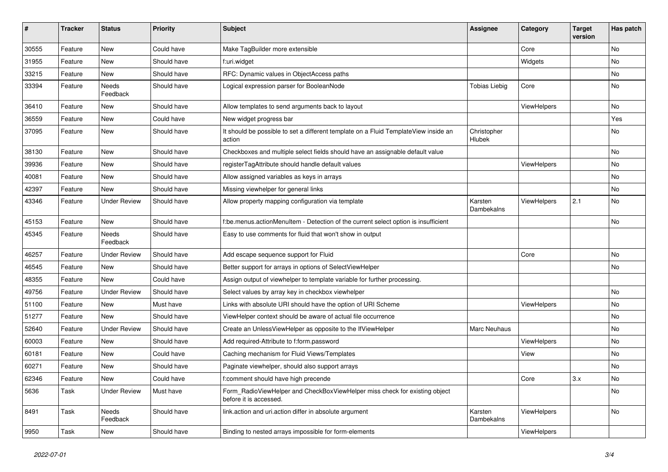| $\#$  | <b>Tracker</b> | <b>Status</b>       | <b>Priority</b> | <b>Subject</b>                                                                                       | <b>Assignee</b>       | Category    | <b>Target</b><br>version | Has patch |
|-------|----------------|---------------------|-----------------|------------------------------------------------------------------------------------------------------|-----------------------|-------------|--------------------------|-----------|
| 30555 | Feature        | New                 | Could have      | Make TagBuilder more extensible                                                                      |                       | Core        |                          | <b>No</b> |
| 31955 | Feature        | New                 | Should have     | f:uri.widget                                                                                         |                       | Widgets     |                          | No        |
| 33215 | Feature        | New                 | Should have     | RFC: Dynamic values in ObjectAccess paths                                                            |                       |             |                          | No        |
| 33394 | Feature        | Needs<br>Feedback   | Should have     | Logical expression parser for BooleanNode                                                            | <b>Tobias Liebig</b>  | Core        |                          | No        |
| 36410 | Feature        | New                 | Should have     | Allow templates to send arguments back to layout                                                     |                       | ViewHelpers |                          | No        |
| 36559 | Feature        | New                 | Could have      | New widget progress bar                                                                              |                       |             |                          | Yes       |
| 37095 | Feature        | New                 | Should have     | It should be possible to set a different template on a Fluid TemplateView inside an<br>action        | Christopher<br>Hlubek |             |                          | No        |
| 38130 | Feature        | New                 | Should have     | Checkboxes and multiple select fields should have an assignable default value                        |                       |             |                          | No        |
| 39936 | Feature        | New                 | Should have     | registerTagAttribute should handle default values                                                    |                       | ViewHelpers |                          | No        |
| 40081 | Feature        | New                 | Should have     | Allow assigned variables as keys in arrays                                                           |                       |             |                          | No        |
| 42397 | Feature        | New                 | Should have     | Missing viewhelper for general links                                                                 |                       |             |                          | No        |
| 43346 | Feature        | <b>Under Review</b> | Should have     | Allow property mapping configuration via template                                                    | Karsten<br>Dambekalns | ViewHelpers | 2.1                      | No        |
| 45153 | Feature        | New                 | Should have     | f:be.menus.actionMenuItem - Detection of the current select option is insufficient                   |                       |             |                          | No        |
| 45345 | Feature        | Needs<br>Feedback   | Should have     | Easy to use comments for fluid that won't show in output                                             |                       |             |                          |           |
| 46257 | Feature        | <b>Under Review</b> | Should have     | Add escape sequence support for Fluid                                                                |                       | Core        |                          | No        |
| 46545 | Feature        | New                 | Should have     | Better support for arrays in options of SelectViewHelper                                             |                       |             |                          | No        |
| 48355 | Feature        | New                 | Could have      | Assign output of viewhelper to template variable for further processing.                             |                       |             |                          |           |
| 49756 | Feature        | <b>Under Review</b> | Should have     | Select values by array key in checkbox viewhelper                                                    |                       |             |                          | No        |
| 51100 | Feature        | New                 | Must have       | Links with absolute URI should have the option of URI Scheme                                         |                       | ViewHelpers |                          | No        |
| 51277 | Feature        | New                 | Should have     | ViewHelper context should be aware of actual file occurrence                                         |                       |             |                          | No        |
| 52640 | Feature        | <b>Under Review</b> | Should have     | Create an UnlessViewHelper as opposite to the IfViewHelper                                           | Marc Neuhaus          |             |                          | No        |
| 60003 | Feature        | New                 | Should have     | Add required-Attribute to f:form.password                                                            |                       | ViewHelpers |                          | No        |
| 60181 | Feature        | New                 | Could have      | Caching mechanism for Fluid Views/Templates                                                          |                       | View        |                          | No        |
| 60271 | Feature        | New                 | Should have     | Paginate viewhelper, should also support arrays                                                      |                       |             |                          | No        |
| 62346 | Feature        | New                 | Could have      | f:comment should have high precende                                                                  |                       | Core        | 3.x                      | No        |
| 5636  | Task           | <b>Under Review</b> | Must have       | Form_RadioViewHelper and CheckBoxViewHelper miss check for existing object<br>before it is accessed. |                       |             |                          | No        |
| 8491  | Task           | Needs<br>Feedback   | Should have     | link.action and uri.action differ in absolute argument                                               | Karsten<br>Dambekalns | ViewHelpers |                          | No        |
| 9950  | Task           | New                 | Should have     | Binding to nested arrays impossible for form-elements                                                |                       | ViewHelpers |                          |           |